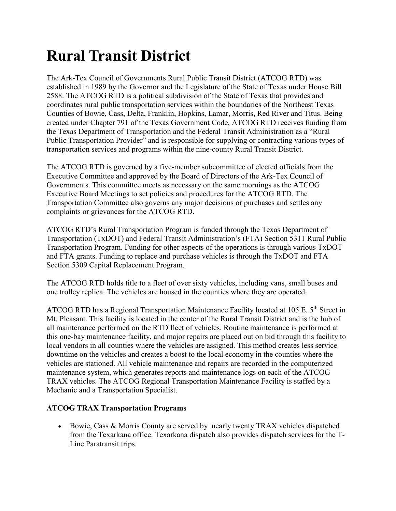## **Rural Transit District**

The Ark-Tex Council of Governments Rural Public Transit District (ATCOG RTD) was established in 1989 by the Governor and the Legislature of the State of Texas under House Bill 2588. The ATCOG RTD is a political subdivision of the State of Texas that provides and coordinates rural public transportation services within the boundaries of the Northeast Texas Counties of Bowie, Cass, Delta, Franklin, Hopkins, Lamar, Morris, Red River and Titus. Being created under Chapter 791 of the Texas Government Code, ATCOG RTD receives funding from the Texas Department of Transportation and the Federal Transit Administration as a "Rural Public Transportation Provider" and is responsible for supplying or contracting various types of transportation services and programs within the nine-county Rural Transit District.

The ATCOG RTD is governed by a five-member subcommittee of elected officials from the Executive Committee and approved by the Board of Directors of the Ark-Tex Council of Governments. This committee meets as necessary on the same mornings as the ATCOG Executive Board Meetings to set policies and procedures for the ATCOG RTD. The Transportation Committee also governs any major decisions or purchases and settles any complaints or grievances for the ATCOG RTD.

ATCOG RTD's Rural Transportation Program is funded through the Texas Department of Transportation (TxDOT) and Federal Transit Administration's (FTA) Section 5311 Rural Public Transportation Program. Funding for other aspects of the operations is through various TxDOT and FTA grants. Funding to replace and purchase vehicles is through the TxDOT and FTA Section 5309 Capital Replacement Program.

The ATCOG RTD holds title to a fleet of over sixty vehicles, including vans, small buses and one trolley replica. The vehicles are housed in the counties where they are operated.

ATCOG RTD has a Regional Transportation Maintenance Facility located at 105 E. 5<sup>th</sup> Street in Mt. Pleasant. This facility is located in the center of the Rural Transit District and is the hub of all maintenance performed on the RTD fleet of vehicles. Routine maintenance is performed at this one-bay maintenance facility, and major repairs are placed out on bid through this facility to local vendors in all counties where the vehicles are assigned. This method creates less service downtime on the vehicles and creates a boost to the local economy in the counties where the vehicles are stationed. All vehicle maintenance and repairs are recorded in the computerized maintenance system, which generates reports and maintenance logs on each of the ATCOG TRAX vehicles. The ATCOG Regional Transportation Maintenance Facility is staffed by a Mechanic and a Transportation Specialist.

## **ATCOG TRAX Transportation Programs**

• Bowie, Cass & Morris County are served by nearly twenty TRAX vehicles dispatched from the Texarkana office. Texarkana dispatch also provides dispatch services for the T-Line Paratransit trips.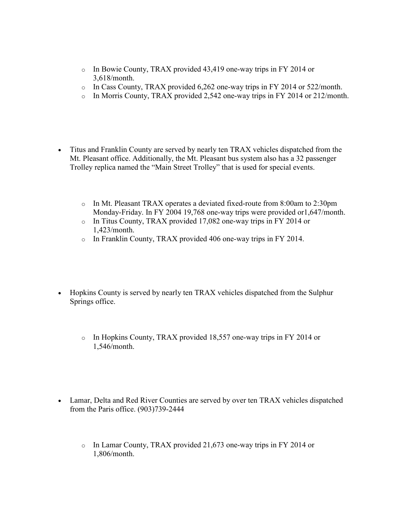- o In Bowie County, TRAX provided 43,419 one-way trips in FY 2014 or 3,618/month.
- $\circ$  In Cass County, TRAX provided 6,262 one-way trips in FY 2014 or 522/month.
- o In Morris County, TRAX provided 2,542 one-way trips in FY 2014 or 212/month.
- Titus and Franklin County are served by nearly ten TRAX vehicles dispatched from the Mt. Pleasant office. Additionally, the Mt. Pleasant bus system also has a 32 passenger Trolley replica named the "Main Street Trolley" that is used for special events.
	- o In Mt. Pleasant TRAX operates a deviated fixed-route from 8:00am to 2:30pm Monday-Friday. In FY 2004 19,768 one-way trips were provided or1,647/month.
	- o In Titus County, TRAX provided 17,082 one-way trips in FY 2014 or 1,423/month.
	- o In Franklin County, TRAX provided 406 one-way trips in FY 2014.
- Hopkins County is served by nearly ten TRAX vehicles dispatched from the Sulphur Springs office.
	- o In Hopkins County, TRAX provided 18,557 one-way trips in FY 2014 or 1,546/month.
- Lamar, Delta and Red River Counties are served by over ten TRAX vehicles dispatched from the Paris office. (903)739-2444
	- o In Lamar County, TRAX provided 21,673 one-way trips in FY 2014 or 1,806/month.